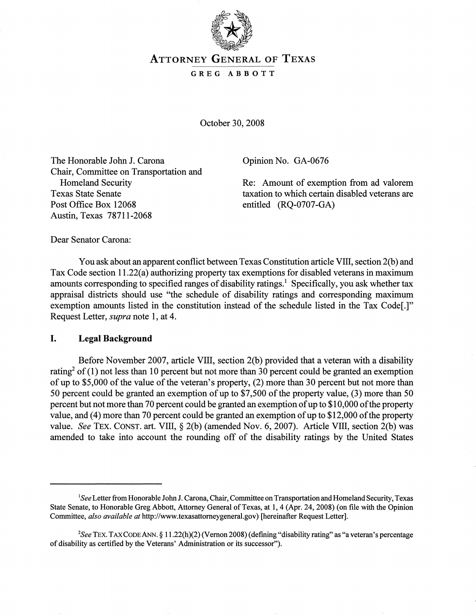

# ATTORNEY GENERAL OF TEXAS

#### GREG ABBOTT

October 30, 2008

The Honorable John J. Carona Chair, Committee on Transportation and Homeland Security Texas State Senate Post Office Box 12068 Austin, Texas 78711-2068

Opinion No. GA-0676

Re: Amount of exemption from ad valorem taxation to which certain disabled veterans are entitled (RQ-0707-GA)

Dear Senator Carona:

You ask about an apparent conflict between Texas Constitution article VIII, section 2(b) and Tax Code section 11.22(a) authorizing property tax exemptions for disabled veterans in maximum amounts corresponding to specified ranges of disability ratings.<sup>1</sup> Specifically, you ask whether tax appraisal districts should use "the schedule of disability ratings and corresponding maximum exemption amounts listed in the constitution instead of the schedule listed in the Tax Code[.]" Request Letter, *supra* note 1, at 4.

#### I. Legal Background

Before November 2007, article VIII, section 2(b) provided that a veteran with a disability rating<sup>2</sup> of (1) not less than 10 percent but not more than 30 percent could be granted an exemption of up to \$5,000 of the value of the veteran's property,  $(2)$  more than 30 percent but not more than 50 percent could be granted an exemption of up to  $$7,500$  of the property value, (3) more than 50 percent but not more than 70 percent could be granted an exemption of up to \$10,000 of the property value, and (4) more than 70 percent could be granted an exemption of up to \$12,000 of the property value. *See* TEX. CONST. art. VIII, § 2(b) (amended Nov. 6, 2007). Article VIII, section 2(b) was amended to take into account the rounding off of the disability ratings by the United States

<sup>&</sup>lt;sup>1</sup>See Letter from Honorable John J. Carona, Chair, Committee on Transportation and Homeland Security, Texas State Senate, to Honorable Greg Abbott, Attorney General of Texas, at 1, 4 (Apr. 24, 2008) (on file with the Opinion Committee, *also available at* http://www.texasattorneygeneral.gov) [hereinafter Request Letter].

*<sup>2</sup>See* TEX. TAXCODEANN. § 11.22(h)(2) (Vernon 2008) (defming "disability rating" as "a veteran's percentage of disability as certified by the Veterans' Administration or its successor").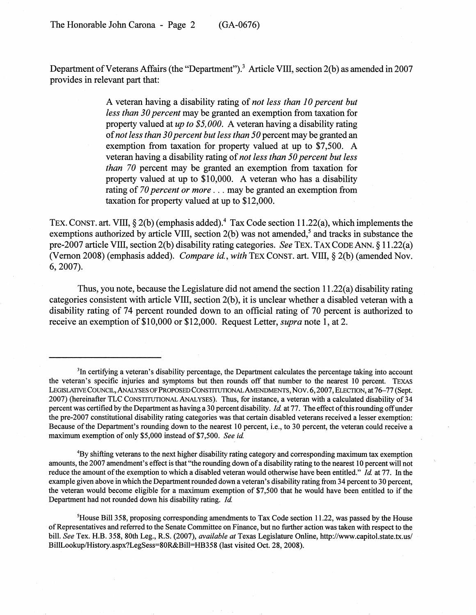Department of Veterans Affairs (the "Department").<sup>3</sup> Article VIII, section 2(b) as amended in 2007 provides in relevant part that:

> A veteran having a disability rating of *not less than 10 percent but less than 30 percent* may be granted an exemption from taxation for property valued at *up to \$5,000.* A veteran having a disability rating of*not less than 30percent but less than 50* percent may be granted an exemption from taxation for property valued at up to \$7,500. A veteran having a disability rating" of*not less than 50 percent but less than 70* percent may be granted an exemption from taxation for property valued at up to \$10,000. A veteran who has a disability rating of *70 percent or more .* .. may be granted an exemption from taxation for property valued at up to \$12,000.

TEX. CONST. art. VIII,  $\S 2(b)$  (emphasis added).<sup>4</sup> Tax Code section 11.22(a), which implements the exemptions authorized by article VIII, section  $2(b)$  was not amended,<sup>5</sup> and tracks in substance the pre-2007 article VIII, section 2(b) disability rating categories. *See* TEX. TAX CODE ANN. § 11.22(a) (Vernon 2008) (emphasis added). *Compare id.*, with TEX CONST. art. VIII, § 2(b) (amended Nov. 6,2007).

Thus, you note, because the Legislature did not amend the section 11.22(a) disability rating categories consistent with article VIII, section 2(b), it is unclear whether a disabled veteran with a disability rating of 74 percent rounded down to an official rating of 70 percent is authorized to receive an exemption of\$10,000 or \$12,000. Request Letter, *supra* note 1, at 2.

4By shifting veterans to the next higher disability rating category and corresponding maximum tax exemption amounts, the 2007 amendment's effect is that "the rounding down ofa disability rating to the nearest 10 percent will not reduce the amount of the exemption to which a disabled veteran would otherwise have been entitled." *Id.* at 77. In the example given above in which the Department rounded down a veteran's disability rating from 34 percent to 30 percent, the veteran would become eligible for a maximum exemption of \$7,500 that he would have been entitled to if the Department had not rounded down his disability rating. *Id*

<sup>5</sup>House Bill 358, proposing corresponding amendments to Tax Code section 11.22, was passed by the House ofRepresentatives and referred to the Senate Committee on Finance, but no further action was taken with respect to the bill. *See* Tex. H.B. 358, 80th Leg., R.S. (2007), *available at* Texas Legislature Online, http://www.capitol.state.tx.us/ BillLookup/History.aspx?LegSess=80R&Bill=HB358 (last visited Oct. 28, 2008).

<sup>&</sup>lt;sup>3</sup>In certifying a veteran's disability percentage, the Department calculates the percentage taking into account the veteran's specific injuries and symptoms but then rounds off that number to the nearest 10 percent. TEXAS LEGISLATIVE COUNCIL, ANALYSES OF PROPOSED CONSTITUTIONAL AMENDMENTS, NOV. 6, 2007, ELECTION, at 76-77 (Sept. 2007) (hereinafter TLC CONSTITUTIONAL ANALYSES). Thus, for instance, a veteran with a calculated disability of 34 percent was certified by the Department as having a 30 percent disability. *Id* at 77. The effect ofthis rounding offunder the pre-2007 constitutional disability rating categories was that certain disabled veterans received a lesser exemption: Because of the Department's rounding down to the nearest 10 percent, i.e., to 30 percent, the veteran could receive a maximum exemption of only \$5,000 instead of \$7,500. *See id*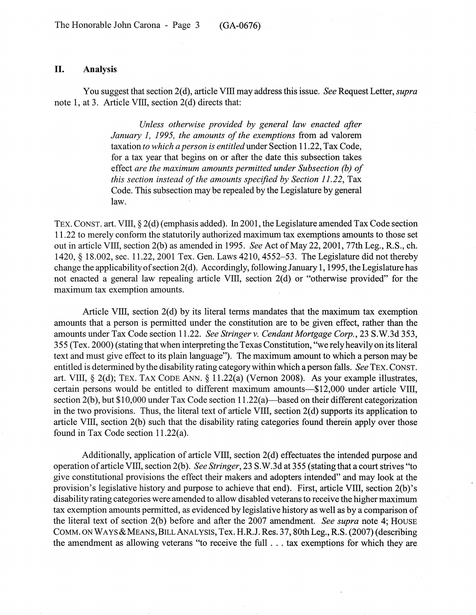## **II. Analysis**

You suggest that section 2(d), article Vill may address this issue. *See* Request Letter, *supra* note 1, at 3. Article VIII, section 2(d) directs that:

> *Unless otherwise provided by general law enacted after January* 1, 1995, *the amounts of the exemptions* from ad valorem taxation *to which a person is entitled* under Section 11.22, Tax Code, for a tax year that begins on or after the date this subsection takes effect *are the maximum amounts permitted under Subsection (b) of this section instead of the amounts specified by Section 11.22, Tax* Code. This subsection may be repealed by the Legislature by general law.

TEX. CONST. art. VIII, § 2(d) (emphasis added). In2001, the Legislature amended Tax Code section 11.22 to merely conform the statutorily authorized maximum tax exemptions amounts to those set out in article VIII, section 2(b) as amended in 1995. *See* Act of May 22, 2001, 77th Leg., R.S., ch. 1420, § 18.002, sec. 11.22, 2001 Tex. Gen. Laws 4210,4552-53. The Legislature did not thereby change the applicability of section  $2(d)$ . Accordingly, following January 1, 1995, the Legislature has not enacted a general law repealing article VIII, section 2(d) or "otherwise provided" for the maximum tax exemption amounts.

Article VIII, section 2(d) by its literal terms mandates that the maximum tax exemption amounts that a person is permitted under the constitution are to be given effect, rather than the amounts under Tax Code section 11.22. *See Stringer* v. *Cendant Mortgage Corp.,* 23 S.W.3d 353, 355 (Tex. 2000) (stating that when interpreting the Texas Constitution, "we rely heavily on its literal text and must give effect to its plain language"). The maximum amount to which a person may be entitled is determined by the disability rating category within which a person falls. *See* TEX. CONST. art. VIII,  $\S$  2(d); TEX. TAX CODE ANN.  $\S$  11.22(a) (Vernon 2008). As your example illustrates, certain persons would be entitled to different maximum amounts-\$12,000 under article VIII, section 2(b), but \$10,000 under Tax Code section  $11.22(a)$ —based on their different categorization in the two provisions. Thus, the literal text of article VIII, section 2(d) supports its application to article Vill, section 2(b) such that the disability rating categories found therein apply over those found in Tax Code section 11.22(a).

Additionally, application of article VIII, section 2(d) effectuates the intended purpose and operation ofarticle VIII, section 2(b). *See Stringer,* 23 S.W.3d at 355 (stating that a court strives "to give constitutional provisions the effect their makers and adopters intended" and may look at the provision's legislative history and purpose to achieve that end). First, article Vill, section 2(b)'s disability rating categories were amended to allow disabled veteransto receive the higher maximum tax exemption amounts permitted, as evidenced by legislative history as well as by a comparison of the literal text of section 2(b) before and after the 2007 amendment. *See supra* note 4; HOUSE COMM. ON WAYS & MEANS, BILL ANALYSIS, Tex. H.R.J. Res. 37, 80th Leg., R.S. (2007) (describing the amendment as allowing veterans "to receive the full . . . tax exemptions for which they are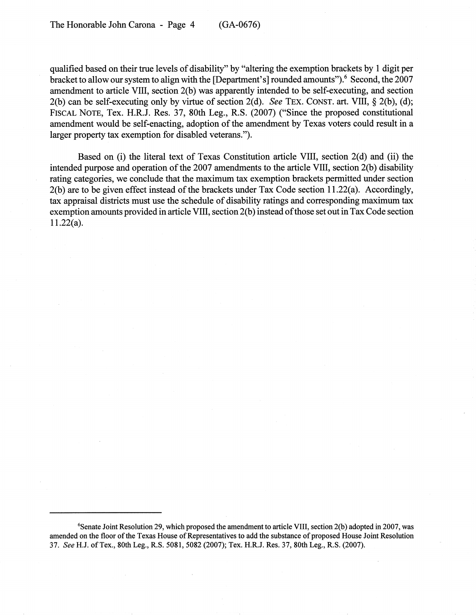qualified based on their true levels of disability" by "altering the exemption brackets by 1 digit per bracket to allow our system to align with the [Department's] rounded amounts").<sup>6</sup> Second, the 2007 amendment to article VIII, section 2(b) was apparently intended to be self-executing, and section 2(b) can be self-executing only by virtue of section 2(d). *See* TEX. CONST. art. VIII, § 2(b), (d); FISCAL NOTE, Tex. H.R.J. Res. 37, 80th Leg., R.S. (2007) ("Since the proposed constitutional amendment would be self-enacting, adoption of the amendment by Texas voters could result in a larger property tax exemption for disabled veterans.").

Based on (i) the literal text of Texas Constitution article VIII, section 2(d) and (ii) the intended purpose and operation of the 2007 amendments to the article VIII, section 2(b) disability rating categories, we conclude that the maximum tax exemption brackets permitted under section  $2(b)$  are to be given effect instead of the brackets under Tax Code section 11.22(a). Accordingly, tax appraisal districts must use the schedule of disability ratings and corresponding maximum tax exemption amounts provided in article VIII, section 2(b) instead of those set out in Tax Code section 11.22(a).

<sup>6</sup>Senate Joint Resolution 29, which proposed the amendment to article VIII, section 2(b) adopted in 2007, was amended on the floor of the Texas House of Representatives to add the substance of proposed House Joint Resolution *37. See* H.J. ofTex., 80th Leg., R.S. 5081,5082 (2007); Tex. H.R.J. Res. 37, 80th Leg., R.S. (2007).